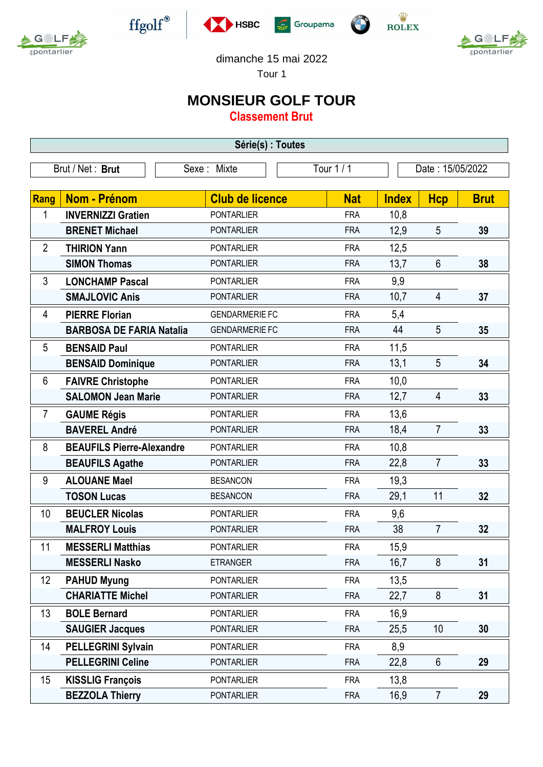



 $\operatorname{ffgolf}^{\circledast}$ 







dimanche 15 mai 2022

Tour 1

## **MONSIEUR GOLF TOUR**

**Classement Brut**

| Série(s) : Toutes |                                  |  |                        |  |            |                  |                |             |
|-------------------|----------------------------------|--|------------------------|--|------------|------------------|----------------|-------------|
| Brut / Net: Brut  |                                  |  | Sexe : Mixte           |  | Tour $1/1$ | Date: 15/05/2022 |                |             |
|                   |                                  |  |                        |  |            |                  |                |             |
| Rang              | Nom - Prénom                     |  | <b>Club de licence</b> |  | <b>Nat</b> | <b>Index</b>     | <b>Hcp</b>     | <b>Brut</b> |
| 1                 | <b>INVERNIZZI Gratien</b>        |  | <b>PONTARLIER</b>      |  | <b>FRA</b> | 10,8             |                |             |
|                   | <b>BRENET Michael</b>            |  | <b>PONTARLIER</b>      |  | <b>FRA</b> | 12,9             | 5              | 39          |
| $\overline{2}$    | <b>THIRION Yann</b>              |  | <b>PONTARLIER</b>      |  | <b>FRA</b> | 12,5             |                |             |
|                   | <b>SIMON Thomas</b>              |  | <b>PONTARLIER</b>      |  | <b>FRA</b> | 13,7             | 6              | 38          |
| 3                 | <b>LONCHAMP Pascal</b>           |  | <b>PONTARLIER</b>      |  | <b>FRA</b> | 9,9              |                |             |
|                   | <b>SMAJLOVIC Anis</b>            |  | <b>PONTARLIER</b>      |  | <b>FRA</b> | 10,7             | 4              | 37          |
| 4                 | <b>PIERRE Florian</b>            |  | <b>GENDARMERIE FC</b>  |  | <b>FRA</b> | 5,4              |                |             |
|                   | <b>BARBOSA DE FARIA Natalia</b>  |  | <b>GENDARMERIE FC</b>  |  | <b>FRA</b> | 44               | 5              | 35          |
| 5                 | <b>BENSAID Paul</b>              |  | <b>PONTARLIER</b>      |  | <b>FRA</b> | 11,5             |                |             |
|                   | <b>BENSAID Dominique</b>         |  | <b>PONTARLIER</b>      |  | <b>FRA</b> | 13,1             | 5              | 34          |
| 6                 | <b>FAIVRE Christophe</b>         |  | <b>PONTARLIER</b>      |  | <b>FRA</b> | 10,0             |                |             |
|                   | <b>SALOMON Jean Marie</b>        |  | <b>PONTARLIER</b>      |  | <b>FRA</b> | 12,7             | 4              | 33          |
| $\overline{7}$    | <b>GAUME Régis</b>               |  | <b>PONTARLIER</b>      |  | <b>FRA</b> | 13,6             |                |             |
|                   | <b>BAVEREL André</b>             |  | <b>PONTARLIER</b>      |  | <b>FRA</b> | 18,4             | $\overline{7}$ | 33          |
| 8                 | <b>BEAUFILS Pierre-Alexandre</b> |  | <b>PONTARLIER</b>      |  | <b>FRA</b> | 10,8             |                |             |
|                   | <b>BEAUFILS Agathe</b>           |  | <b>PONTARLIER</b>      |  | <b>FRA</b> | 22,8             | $\overline{7}$ | 33          |
| 9                 | <b>ALOUANE Mael</b>              |  | <b>BESANCON</b>        |  | <b>FRA</b> | 19,3             |                |             |
|                   | <b>TOSON Lucas</b>               |  | <b>BESANCON</b>        |  | <b>FRA</b> | 29,1             | 11             | 32          |
| 10                | <b>BEUCLER Nicolas</b>           |  | <b>PONTARLIER</b>      |  | <b>FRA</b> | 9,6              |                |             |
|                   | <b>MALFROY Louis</b>             |  | <b>PONTARLIER</b>      |  | <b>FRA</b> | 38               | $\overline{7}$ | 32          |
| 11                | <b>MESSERLI Matthias</b>         |  | <b>PONTARLIER</b>      |  | <b>FRA</b> | 15,9             |                |             |
|                   | <b>MESSERLI Nasko</b>            |  | <b>ETRANGER</b>        |  | <b>FRA</b> | 16,7             | 8              | 31          |
| 12                | <b>PAHUD Myung</b>               |  | <b>PONTARLIER</b>      |  | <b>FRA</b> | 13,5             |                |             |
|                   | <b>CHARIATTE Michel</b>          |  | <b>PONTARLIER</b>      |  | <b>FRA</b> | 22,7             | 8              | 31          |
| 13                | <b>BOLE Bernard</b>              |  | <b>PONTARLIER</b>      |  | <b>FRA</b> | 16,9             |                |             |
|                   | <b>SAUGIER Jacques</b>           |  | <b>PONTARLIER</b>      |  | <b>FRA</b> | 25,5             | 10             | 30          |
| 14                | <b>PELLEGRINI Sylvain</b>        |  | <b>PONTARLIER</b>      |  | <b>FRA</b> | 8,9              |                |             |
|                   | <b>PELLEGRINI Celine</b>         |  | <b>PONTARLIER</b>      |  | <b>FRA</b> | 22,8             | 6              | 29          |
| 15                | <b>KISSLIG François</b>          |  | <b>PONTARLIER</b>      |  | <b>FRA</b> | 13,8             |                |             |
|                   | <b>BEZZOLA Thierry</b>           |  | <b>PONTARLIER</b>      |  | <b>FRA</b> | 16,9             | $\overline{7}$ | 29          |
|                   |                                  |  |                        |  |            |                  |                |             |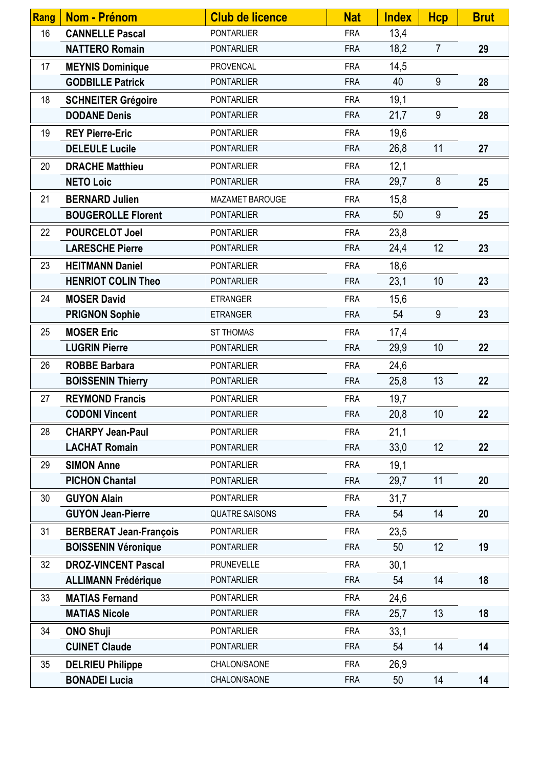| <b>Rang</b> | Nom - Prénom                  | <b>Club de licence</b> | <b>Nat</b> | <b>Index</b> | <b>Hcp</b>     | <b>Brut</b> |
|-------------|-------------------------------|------------------------|------------|--------------|----------------|-------------|
| 16          | <b>CANNELLE Pascal</b>        | <b>PONTARLIER</b>      | <b>FRA</b> | 13,4         |                |             |
|             | <b>NATTERO Romain</b>         | <b>PONTARLIER</b>      | <b>FRA</b> | 18,2         | $\overline{7}$ | 29          |
| 17          | <b>MEYNIS Dominique</b>       | <b>PROVENCAL</b>       | <b>FRA</b> | 14,5         |                |             |
|             | <b>GODBILLE Patrick</b>       | <b>PONTARLIER</b>      | <b>FRA</b> | 40           | 9              | 28          |
| 18          | <b>SCHNEITER Grégoire</b>     | <b>PONTARLIER</b>      | <b>FRA</b> | 19,1         |                |             |
|             | <b>DODANE Denis</b>           | <b>PONTARLIER</b>      | <b>FRA</b> | 21,7         | 9              | 28          |
| 19          | <b>REY Pierre-Eric</b>        | <b>PONTARLIER</b>      | <b>FRA</b> | 19,6         |                |             |
|             | <b>DELEULE Lucile</b>         | <b>PONTARLIER</b>      | <b>FRA</b> | 26,8         | 11             | 27          |
| 20          | <b>DRACHE Matthieu</b>        | <b>PONTARLIER</b>      | <b>FRA</b> | 12,1         |                |             |
|             | <b>NETO Loic</b>              | <b>PONTARLIER</b>      | <b>FRA</b> | 29,7         | 8              | 25          |
| 21          | <b>BERNARD Julien</b>         | MAZAMET BAROUGE        | <b>FRA</b> | 15,8         |                |             |
|             | <b>BOUGEROLLE Florent</b>     | <b>PONTARLIER</b>      | <b>FRA</b> | 50           | 9              | 25          |
| 22          | <b>POURCELOT Joel</b>         | <b>PONTARLIER</b>      | <b>FRA</b> | 23,8         |                |             |
|             | <b>LARESCHE Pierre</b>        | <b>PONTARLIER</b>      | <b>FRA</b> | 24,4         | 12             | 23          |
| 23          | <b>HEITMANN Daniel</b>        | <b>PONTARLIER</b>      | <b>FRA</b> | 18,6         |                |             |
|             | <b>HENRIOT COLIN Theo</b>     | <b>PONTARLIER</b>      | <b>FRA</b> | 23,1         | 10             | 23          |
| 24          | <b>MOSER David</b>            | <b>ETRANGER</b>        | <b>FRA</b> | 15,6         |                |             |
|             | <b>PRIGNON Sophie</b>         | <b>ETRANGER</b>        | <b>FRA</b> | 54           | 9              | 23          |
| 25          | <b>MOSER Eric</b>             | ST THOMAS              | <b>FRA</b> | 17,4         |                |             |
|             | <b>LUGRIN Pierre</b>          | <b>PONTARLIER</b>      | <b>FRA</b> | 29,9         | 10             | 22          |
| 26          | <b>ROBBE Barbara</b>          | <b>PONTARLIER</b>      | <b>FRA</b> | 24,6         |                |             |
|             | <b>BOISSENIN Thierry</b>      | <b>PONTARLIER</b>      | <b>FRA</b> | 25,8         | 13             | 22          |
| 27          | <b>REYMOND Francis</b>        | <b>PONTARLIER</b>      | <b>FRA</b> | 19,7         |                |             |
|             | <b>CODONI Vincent</b>         | PONTARLIER             | <b>FRA</b> | 20,8         | 10             | 22          |
| 28          | <b>CHARPY Jean-Paul</b>       | <b>PONTARLIER</b>      | <b>FRA</b> | 21,1         |                |             |
|             | <b>LACHAT Romain</b>          | <b>PONTARLIER</b>      | <b>FRA</b> | 33,0         | 12             | 22          |
| 29          | <b>SIMON Anne</b>             | <b>PONTARLIER</b>      | <b>FRA</b> | 19,1         |                |             |
|             | <b>PICHON Chantal</b>         | <b>PONTARLIER</b>      | <b>FRA</b> | 29,7         | 11             | 20          |
| 30          | <b>GUYON Alain</b>            | <b>PONTARLIER</b>      | <b>FRA</b> | 31,7         |                |             |
|             | <b>GUYON Jean-Pierre</b>      | <b>QUATRE SAISONS</b>  | <b>FRA</b> | 54           | 14             | 20          |
| 31          | <b>BERBERAT Jean-François</b> | <b>PONTARLIER</b>      | <b>FRA</b> | 23,5         |                |             |
|             | <b>BOISSENIN Véronique</b>    | <b>PONTARLIER</b>      | <b>FRA</b> | 50           | 12             | 19          |
| 32          | <b>DROZ-VINCENT Pascal</b>    | <b>PRUNEVELLE</b>      | <b>FRA</b> | 30,1         |                |             |
|             | <b>ALLIMANN Frédérique</b>    | <b>PONTARLIER</b>      | <b>FRA</b> | 54           | 14             | 18          |
| 33          | <b>MATIAS Fernand</b>         | <b>PONTARLIER</b>      | <b>FRA</b> | 24,6         |                |             |
|             | <b>MATIAS Nicole</b>          | <b>PONTARLIER</b>      | <b>FRA</b> | 25,7         | 13             | 18          |
| 34          | <b>ONO Shuji</b>              | <b>PONTARLIER</b>      | <b>FRA</b> | 33,1         |                |             |
|             | <b>CUINET Claude</b>          | <b>PONTARLIER</b>      | <b>FRA</b> | 54           | 14             | 14          |
| 35          | <b>DELRIEU Philippe</b>       | CHALON/SAONE           | <b>FRA</b> | 26,9         |                |             |
|             | <b>BONADEI Lucia</b>          | CHALON/SAONE           | <b>FRA</b> | 50           | 14             | 14          |